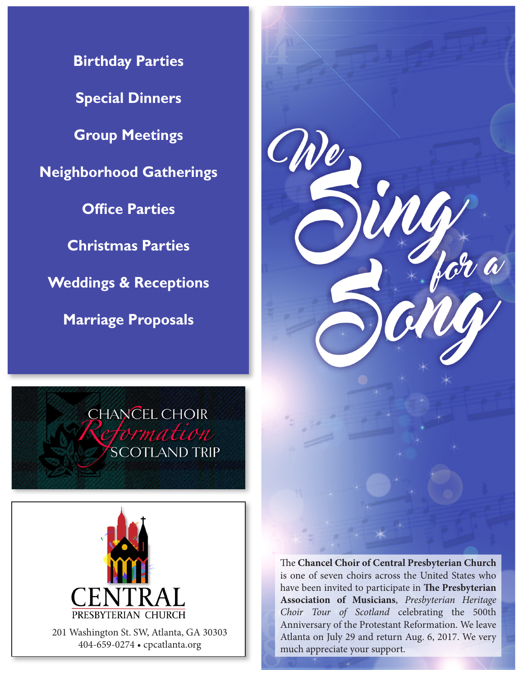**Birthday Parties Special Dinners Group Meetings Neighborhood Gatherings Office Parties Christmas Parties Weddings & Receptions Marriage Proposals**



**CHANCEL CHOIR** tormation **SCOTLAND TRIP** 



201 Washington St. SW, Atlanta, GA 30303 404-659-0274 • cpcatlanta.org

The **Chancel Choir of Central Presbyterian Church** is one of seven choirs across the United States who have been invited to participate in **The Presbyterian Association of Musicians**, *Presbyterian Heritage Choir Tour of Scotland* celebrating the 500th Anniversary of the Protestant Reformation. We leave Atlanta on July 29 and return Aug. 6, 2017. We very much appreciate your support.